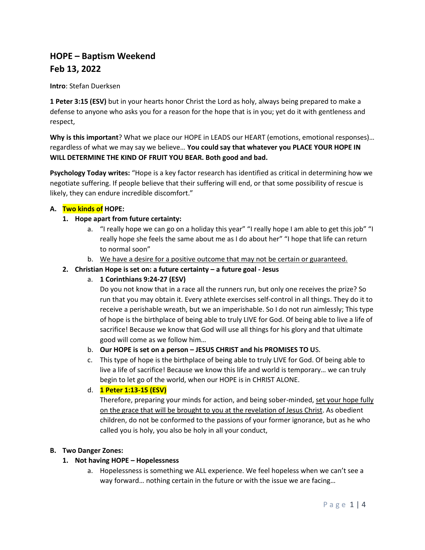# **HOPE – Baptism Weekend Feb 13, 2022**

## **Intro**: Stefan Duerksen

**1 Peter 3:15 (ESV)** but in your hearts honor Christ the Lord as holy, always being prepared to make a defense to anyone who asks you for a reason for the hope that is in you; yet do it with gentleness and respect,

**Why is this important**? What we place our HOPE in LEADS our HEART (emotions, emotional responses)… regardless of what we may say we believe… **You could say that whatever you PLACE YOUR HOPE IN WILL DETERMINE THE KIND OF FRUIT YOU BEAR. Both good and bad.** 

**Psychology Today writes:** "Hope is a key factor research has identified as critical in determining how we negotiate suffering. If people believe that their suffering will end, or that some possibility of rescue is likely, they can endure incredible discomfort."

## **A. Two kinds of HOPE:**

## **1. Hope apart from future certainty:**

- a. "I really hope we can go on a holiday this year" "I really hope I am able to get this job" "I really hope she feels the same about me as I do about her" "I hope that life can return to normal soon"
- b. We have a desire for a positive outcome that may not be certain or guaranteed.

## **2. Christian Hope is set on: a future certainty – a future goal - Jesus**

a. **1 Corinthians 9:24-27 (ESV)** 

Do you not know that in a race all the runners run, but only one receives the prize? So run that you may obtain it. Every athlete exercises self-control in all things. They do it to receive a perishable wreath, but we an imperishable. So I do not run aimlessly; This type of hope is the birthplace of being able to truly LIVE for God. Of being able to live a life of sacrifice! Because we know that God will use all things for his glory and that ultimate good will come as we follow him…

- b. **Our HOPE is set on a person – JESUS CHRIST and his PROMISES TO U**S.
- c. This type of hope is the birthplace of being able to truly LIVE for God. Of being able to live a life of sacrifice! Because we know this life and world is temporary… we can truly begin to let go of the world, when our HOPE is in CHRIST ALONE.
- d. **1 Peter 1:13-15 (ESV)**

Therefore, preparing your minds for action, and being sober-minded, set your hope fully on the grace that will be brought to you at the revelation of Jesus Christ. As obedient children, do not be conformed to the passions of your former ignorance, but as he who called you is holy, you also be holy in all your conduct,

## **B. Two Danger Zones:**

## **1. Not having HOPE – Hopelessness**

a. Hopelessness is something we ALL experience. We feel hopeless when we can't see a way forward… nothing certain in the future or with the issue we are facing…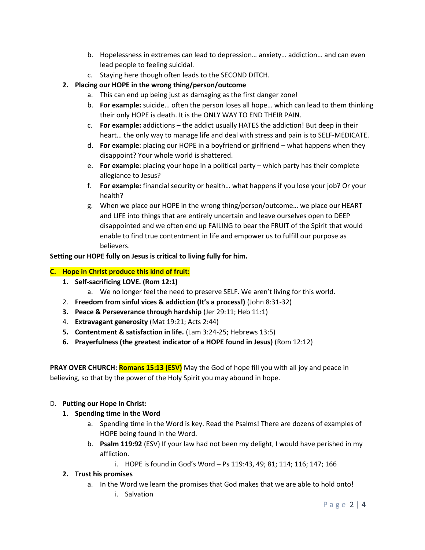- b. Hopelessness in extremes can lead to depression… anxiety… addiction… and can even lead people to feeling suicidal.
- c. Staying here though often leads to the SECOND DITCH.
- **2. Placing our HOPE in the wrong thing/person/outcome** 
	- a. This can end up being just as damaging as the first danger zone!
	- b. **For example:** suicide… often the person loses all hope… which can lead to them thinking their only HOPE is death. It is the ONLY WAY TO END THEIR PAIN.
	- c. **For example:** addictions the addict usually HATES the addiction! But deep in their heart… the only way to manage life and deal with stress and pain is to SELF-MEDICATE.
	- d. **For example**: placing our HOPE in a boyfriend or girlfriend what happens when they disappoint? Your whole world is shattered.
	- e. **For example**: placing your hope in a political party which party has their complete allegiance to Jesus?
	- f. **For example:** financial security or health… what happens if you lose your job? Or your health?
	- g. When we place our HOPE in the wrong thing/person/outcome… we place our HEART and LIFE into things that are entirely uncertain and leave ourselves open to DEEP disappointed and we often end up FAILING to bear the FRUIT of the Spirit that would enable to find true contentment in life and empower us to fulfill our purpose as believers.

# **Setting our HOPE fully on Jesus is critical to living fully for him.**

## **C. Hope in Christ produce this kind of fruit:**

- **1. Self-sacrificing LOVE. (Rom 12:1)**
	- a. We no longer feel the need to preserve SELF. We aren't living for this world.
- 2. **Freedom from sinful vices & addiction (It's a process!)** (John 8:31-32)
- **3. Peace & Perseverance through hardship** (Jer 29:11; Heb 11:1)
- 4. **Extravagant generosity** (Mat 19:21; Acts 2:44)
- **5. Contentment & satisfaction in life.** (Lam 3:24-25; Hebrews 13:5)
- **6. Prayerfulness (the greatest indicator of a HOPE found in Jesus)** (Rom 12:12)

**PRAY OVER CHURCH: Romans 15:13 (ESV)** May the God of hope fill you with all joy and peace in believing, so that by the power of the Holy Spirit you may abound in hope.

## D. **Putting our Hope in Christ:**

# **1. Spending time in the Word**

- a. Spending time in the Word is key. Read the Psalms! There are dozens of examples of HOPE being found in the Word.
- b. **Psalm 119:92** (ESV) If your law had not been my delight, I would have perished in my affliction.
	- i. HOPE is found in God's Word Ps 119:43, 49; 81; 114; 116; 147; 166

## **2. Trust his promises**

- a. In the Word we learn the promises that God makes that we are able to hold onto!
	- i. Salvation